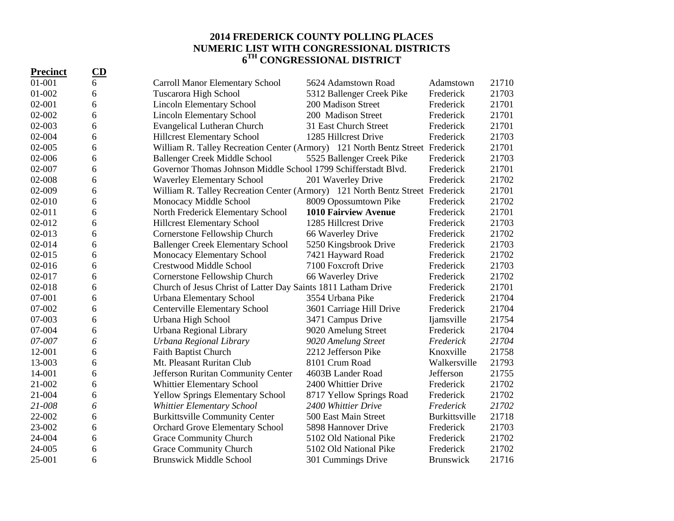## **2014 FREDERICK COUNTY POLLING PLACES NUMERIC LIST WITH CONGRESSIONAL DISTRICTS 6 TH CONGRESSIONAL DISTRICT**

| <b>Precinct</b> | $\overline{\mathbf{CD}}$ |                                                                               |                             |                   |       |
|-----------------|--------------------------|-------------------------------------------------------------------------------|-----------------------------|-------------------|-------|
| 01-001          | 6                        | <b>Carroll Manor Elementary School</b>                                        | 5624 Adamstown Road         | Adamstown         | 21710 |
| 01-002          | 6                        | Tuscarora High School                                                         | 5312 Ballenger Creek Pike   | Frederick         | 21703 |
| 02-001          | 6                        | <b>Lincoln Elementary School</b>                                              | 200 Madison Street          | Frederick         | 21701 |
| 02-002          | 6                        | <b>Lincoln Elementary School</b>                                              | 200 Madison Street          | Frederick         | 21701 |
| 02-003          | 6                        | <b>Evangelical Lutheran Church</b>                                            | 31 East Church Street       | Frederick         | 21701 |
| 02-004          | 6                        | <b>Hillcrest Elementary School</b>                                            | 1285 Hillcrest Drive        | Frederick         | 21703 |
| $02 - 005$      | 6                        | William R. Talley Recreation Center (Armory) 121 North Bentz Street Frederick |                             |                   | 21701 |
| 02-006          | 6                        | Ballenger Creek Middle School                                                 | 5525 Ballenger Creek Pike   | Frederick         | 21703 |
| 02-007          | 6                        | Governor Thomas Johnson Middle School 1799 Schifferstadt Blvd.                |                             | Frederick         | 21701 |
| 02-008          | 6                        | <b>Waverley Elementary School</b>                                             | 201 Waverley Drive          | Frederick         | 21702 |
| 02-009          | 6                        | William R. Talley Recreation Center (Armory) 121 North Bentz Street Frederick |                             |                   | 21701 |
| 02-010          | 6                        | Monocacy Middle School                                                        | 8009 Opossumtown Pike       | Frederick         | 21702 |
| $02 - 011$      | 6                        | North Frederick Elementary School                                             | <b>1010 Fairview Avenue</b> | Frederick         | 21701 |
| 02-012          | 6                        | <b>Hillcrest Elementary School</b>                                            | 1285 Hillcrest Drive        | Frederick         | 21703 |
| 02-013          | 6                        | Cornerstone Fellowship Church                                                 | 66 Waverley Drive           | Frederick         | 21702 |
| 02-014          | 6                        | <b>Ballenger Creek Elementary School</b>                                      | 5250 Kingsbrook Drive       | Frederick         | 21703 |
| 02-015          | 6                        | Monocacy Elementary School                                                    | 7421 Hayward Road           | Frederick         | 21702 |
| 02-016          | 6                        | <b>Crestwood Middle School</b>                                                | 7100 Foxcroft Drive         | Frederick         | 21703 |
| 02-017          | 6                        | Cornerstone Fellowship Church                                                 | 66 Waverley Drive           | Frederick         | 21702 |
| 02-018          | 6                        | Church of Jesus Christ of Latter Day Saints 1811 Latham Drive                 |                             | Frederick         | 21701 |
| 07-001          | 6                        | Urbana Elementary School                                                      | 3554 Urbana Pike            | Frederick         | 21704 |
| 07-002          | 6                        | <b>Centerville Elementary School</b>                                          | 3601 Carriage Hill Drive    | Frederick         | 21704 |
| 07-003          | 6                        | Urbana High School                                                            | 3471 Campus Drive           | <i>ljamsville</i> | 21754 |
| 07-004          | 6                        | Urbana Regional Library                                                       | 9020 Amelung Street         | Frederick         | 21704 |
| 07-007          | 6                        | Urbana Regional Library                                                       | 9020 Amelung Street         | Frederick         | 21704 |
| 12-001          | 6                        | Faith Baptist Church                                                          | 2212 Jefferson Pike         | Knoxville         | 21758 |
| 13-003          | 6                        | Mt. Pleasant Ruritan Club                                                     | 8101 Crum Road              | Walkersville      | 21793 |
| 14-001          | 6                        | Jefferson Ruritan Community Center                                            | 4603B Lander Road           | Jefferson         | 21755 |
| 21-002          | 6                        | <b>Whittier Elementary School</b>                                             | 2400 Whittier Drive         | Frederick         | 21702 |
| 21-004          | 6                        | <b>Yellow Springs Elementary School</b>                                       | 8717 Yellow Springs Road    | Frederick         | 21702 |
| 21-008          | 6                        | <b>Whittier Elementary School</b>                                             | 2400 Whittier Drive         | Frederick         | 21702 |
| 22-002          | 6                        | <b>Burkittsville Community Center</b>                                         | 500 East Main Street        | Burkittsville     | 21718 |
| 23-002          | 6                        | <b>Orchard Grove Elementary School</b>                                        | 5898 Hannover Drive         | Frederick         | 21703 |
| 24-004          | 6                        | Grace Community Church                                                        | 5102 Old National Pike      | Frederick         | 21702 |
| 24-005          | 6                        | <b>Grace Community Church</b>                                                 | 5102 Old National Pike      | Frederick         | 21702 |
| 25-001          | 6                        | <b>Brunswick Middle School</b>                                                | 301 Cummings Drive          | <b>Brunswick</b>  | 21716 |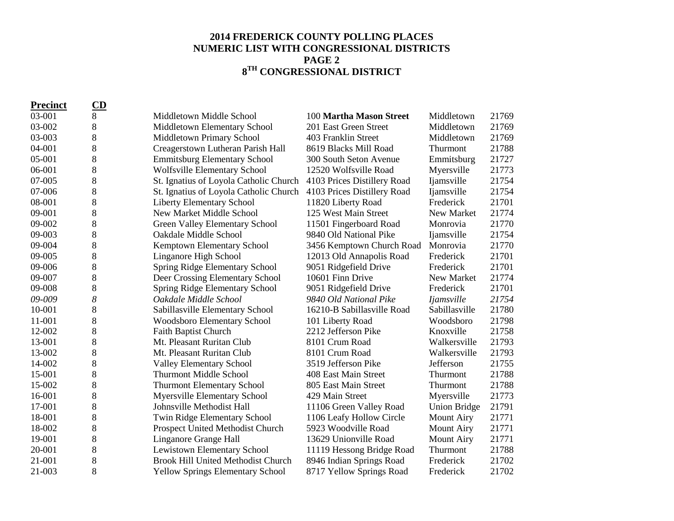## **2014 FREDERICK COUNTY POLLING PLACES NUMERIC LIST WITH CONGRESSIONAL DISTRICTS PAGE 2 8 TH CONGRESSIONAL DISTRICT**

| <b>Precinct</b> | CD    |                                           |                             |                     |       |
|-----------------|-------|-------------------------------------------|-----------------------------|---------------------|-------|
| 03-001          | 8     | Middletown Middle School                  | 100 Martha Mason Street     | Middletown          | 21769 |
| 03-002          | 8     | Middletown Elementary School              | 201 East Green Street       | Middletown          | 21769 |
| 03-003          | 8     | Middletown Primary School                 | 403 Franklin Street         | Middletown          | 21769 |
| 04-001          | 8     | Creagerstown Lutheran Parish Hall         | 8619 Blacks Mill Road       | Thurmont            | 21788 |
| 05-001          | $8\,$ | <b>Emmitsburg Elementary School</b>       | 300 South Seton Avenue      | Emmitsburg          | 21727 |
| 06-001          | 8     | Wolfsville Elementary School              | 12520 Wolfsville Road       | Myersville          | 21773 |
| 07-005          | 8     | St. Ignatius of Loyola Catholic Church    | 4103 Prices Distillery Road | Ijamsville          | 21754 |
| 07-006          | 8     | St. Ignatius of Loyola Catholic Church    | 4103 Prices Distillery Road | <i>Ijamsville</i>   | 21754 |
| 08-001          | 8     | <b>Liberty Elementary School</b>          | 11820 Liberty Road          | Frederick           | 21701 |
| 09-001          | 8     | New Market Middle School                  | 125 West Main Street        | New Market          | 21774 |
| 09-002          | 8     | Green Valley Elementary School            | 11501 Fingerboard Road      | Monrovia            | 21770 |
| 09-003          | 8     | Oakdale Middle School                     | 9840 Old National Pike      | <i>liamsville</i>   | 21754 |
| 09-004          | $8\,$ | Kemptown Elementary School                | 3456 Kemptown Church Road   | Monrovia            | 21770 |
| 09-005          | 8     | Linganore High School                     | 12013 Old Annapolis Road    | Frederick           | 21701 |
| 09-006          | $8\,$ | Spring Ridge Elementary School            | 9051 Ridgefield Drive       | Frederick           | 21701 |
| 09-007          | 8     | Deer Crossing Elementary School           | 10601 Finn Drive            | New Market          | 21774 |
| 09-008          | 8     | Spring Ridge Elementary School            | 9051 Ridgefield Drive       | Frederick           | 21701 |
| 09-009          | 8     | Oakdale Middle School                     | 9840 Old National Pike      | <i>Ijamsville</i>   | 21754 |
| 10-001          | 8     | Sabillasville Elementary School           | 16210-B Sabillasville Road  | Sabillasville       | 21780 |
| 11-001          | 8     | <b>Woodsboro Elementary School</b>        | 101 Liberty Road            | Woodsboro           | 21798 |
| 12-002          | 8     | <b>Faith Baptist Church</b>               | 2212 Jefferson Pike         | Knoxville           | 21758 |
| 13-001          | 8     | Mt. Pleasant Ruritan Club                 | 8101 Crum Road              | Walkersville        | 21793 |
| 13-002          | 8     | Mt. Pleasant Ruritan Club                 | 8101 Crum Road              | Walkersville        | 21793 |
| 14-002          | 8     | <b>Valley Elementary School</b>           | 3519 Jefferson Pike         | Jefferson           | 21755 |
| 15-001          | 8     | <b>Thurmont Middle School</b>             | 408 East Main Street        | Thurmont            | 21788 |
| 15-002          | 8     | <b>Thurmont Elementary School</b>         | 805 East Main Street        | Thurmont            | 21788 |
| 16-001          | 8     | <b>Myersville Elementary School</b>       | 429 Main Street             | Myersville          | 21773 |
| 17-001          | 8     | Johnsville Methodist Hall                 | 11106 Green Valley Road     | <b>Union Bridge</b> | 21791 |
| 18-001          | $8\,$ | Twin Ridge Elementary School              | 1106 Leafy Hollow Circle    | <b>Mount Airy</b>   | 21771 |
| 18-002          | 8     | Prospect United Methodist Church          | 5923 Woodville Road         | <b>Mount Airy</b>   | 21771 |
| 19-001          | 8     | Linganore Grange Hall                     | 13629 Unionville Road       | <b>Mount Airy</b>   | 21771 |
| 20-001          | 8     | Lewistown Elementary School               | 11119 Hessong Bridge Road   | Thurmont            | 21788 |
| 21-001          | 8     | <b>Brook Hill United Methodist Church</b> | 8946 Indian Springs Road    | Frederick           | 21702 |
| 21-003          | 8     | <b>Yellow Springs Elementary School</b>   | 8717 Yellow Springs Road    | Frederick           | 21702 |